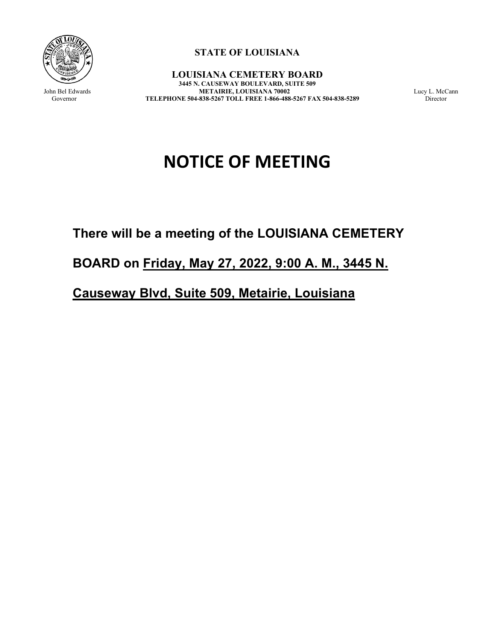

**STATE OF LOUISIANA**

**LOUISIANA CEMETERY BOARD 3445 N. CAUSEWAY BOULEVARD, SUITE 509** John Bel Edwards **METAIRIE, LOUISIANA 70002** Lucy L. McCann<br>Governor **TELEPHONE 504-838-5267 TOLL FREE 1-866-488-5267 FAX 504-838-5289** Director TELEPHONE 504-838-5267 TOLL FREE 1-866-488-5267 FAX 504-838-5289

# **NOTICE OF MEETING**

# **There will be a meeting of the LOUISIANA CEMETERY**

## **BOARD on Friday, May 27, 2022, 9:00 A. M., 3445 N.**

### **Causeway Blvd, Suite 509, Metairie, Louisiana**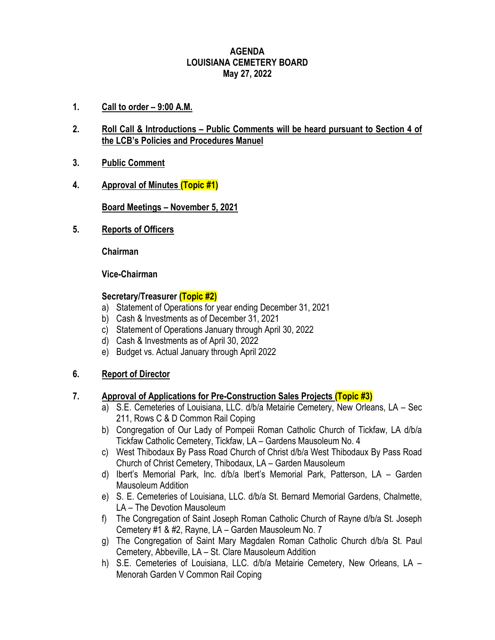#### **AGENDA LOUISIANA CEMETERY BOARD May 27, 2022**

- **1. Call to order – 9:00 A.M.**
- **2. Roll Call & Introductions – Public Comments will be heard pursuant to Section 4 of the LCB's Policies and Procedures Manuel**
- **3. Public Comment**
- **4. Approval of Minutes (Topic #1)**

**Board Meetings – November 5, 2021**

**5. Reports of Officers**

**Chairman**

**Vice-Chairman**

#### **Secretary/Treasurer (Topic #2)**

- a) Statement of Operations for year ending December 31, 2021
- b) Cash & Investments as of December 31, 2021
- c) Statement of Operations January through April 30, 2022
- d) Cash & Investments as of April 30, 2022
- e) Budget vs. Actual January through April 2022

#### **6. Report of Director**

#### **7. Approval of Applications for Pre-Construction Sales Projects (Topic #3)**

- a) S.E. Cemeteries of Louisiana, LLC. d/b/a Metairie Cemetery, New Orleans, LA Sec 211, Rows C & D Common Rail Coping
- b) Congregation of Our Lady of Pompeii Roman Catholic Church of Tickfaw, LA d/b/a Tickfaw Catholic Cemetery, Tickfaw, LA – Gardens Mausoleum No. 4
- c) West Thibodaux By Pass Road Church of Christ d/b/a West Thibodaux By Pass Road Church of Christ Cemetery, Thibodaux, LA – Garden Mausoleum
- d) Ibert's Memorial Park, Inc. d/b/a Ibert's Memorial Park, Patterson, LA Garden Mausoleum Addition
- e) S. E. Cemeteries of Louisiana, LLC. d/b/a St. Bernard Memorial Gardens, Chalmette, LA – The Devotion Mausoleum
- f) The Congregation of Saint Joseph Roman Catholic Church of Rayne d/b/a St. Joseph Cemetery #1 & #2, Rayne, LA – Garden Mausoleum No. 7
- g) The Congregation of Saint Mary Magdalen Roman Catholic Church d/b/a St. Paul Cemetery, Abbeville, LA – St. Clare Mausoleum Addition
- h) S.E. Cemeteries of Louisiana, LLC. d/b/a Metairie Cemetery, New Orleans, LA Menorah Garden V Common Rail Coping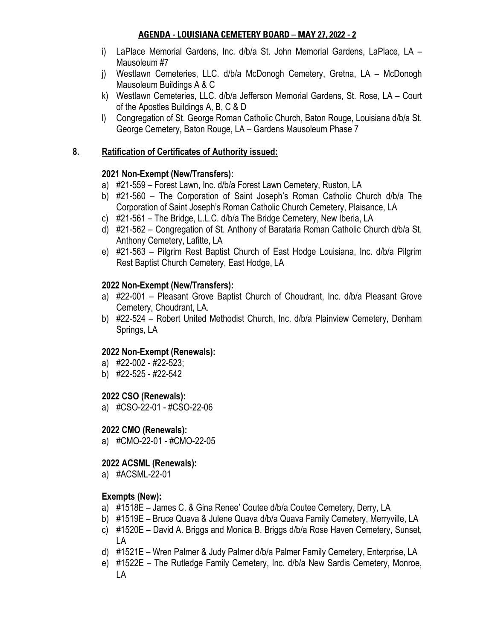#### **AGENDA - LOUISIANA CEMETERY BOARD – MAY 27, 2022 - 2**

- i) LaPlace Memorial Gardens, Inc. d/b/a St. John Memorial Gardens, LaPlace, LA Mausoleum #7
- j) Westlawn Cemeteries, LLC. d/b/a McDonogh Cemetery, Gretna, LA McDonogh Mausoleum Buildings A & C
- k) Westlawn Cemeteries, LLC. d/b/a Jefferson Memorial Gardens, St. Rose, LA Court of the Apostles Buildings A, B, C & D
- l) Congregation of St. George Roman Catholic Church, Baton Rouge, Louisiana d/b/a St. George Cemetery, Baton Rouge, LA – Gardens Mausoleum Phase 7

#### **8. Ratification of Certificates of Authority issued:**

#### **2021 Non-Exempt (New/Transfers):**

- a) #21-559 Forest Lawn, Inc. d/b/a Forest Lawn Cemetery, Ruston, LA
- b) #21-560 The Corporation of Saint Joseph's Roman Catholic Church d/b/a The Corporation of Saint Joseph's Roman Catholic Church Cemetery, Plaisance, LA
- c) #21-561 The Bridge, L.L.C. d/b/a The Bridge Cemetery, New Iberia, LA
- d) #21-562 Congregation of St. Anthony of Barataria Roman Catholic Church d/b/a St. Anthony Cemetery, Lafitte, LA
- e) #21-563 Pilgrim Rest Baptist Church of East Hodge Louisiana, Inc. d/b/a Pilgrim Rest Baptist Church Cemetery, East Hodge, LA

#### **2022 Non-Exempt (New/Transfers):**

- a) #22-001 Pleasant Grove Baptist Church of Choudrant, Inc. d/b/a Pleasant Grove Cemetery, Choudrant, LA.
- b) #22-524 Robert United Methodist Church, Inc. d/b/a Plainview Cemetery, Denham Springs, LA

#### **2022 Non-Exempt (Renewals):**

- a) #22-002 #22-523;
- b) #22-525 #22-542

#### **2022 CSO (Renewals):**

a) #CSO-22-01 - #CSO-22-06

#### **2022 CMO (Renewals):**

a) #CMO-22-01 - #CMO-22-05

#### **2022 ACSML (Renewals):**

a) #ACSML-22-01

#### **Exempts (New):**

- a) #1518E James C. & Gina Renee' Coutee d/b/a Coutee Cemetery, Derry, LA
- b) #1519E Bruce Quava & Julene Quava d/b/a Quava Family Cemetery, Merryville, LA
- c) #1520E David A. Briggs and Monica B. Briggs d/b/a Rose Haven Cemetery, Sunset, LA
- d) #1521E Wren Palmer & Judy Palmer d/b/a Palmer Family Cemetery, Enterprise, LA
- e) #1522E The Rutledge Family Cemetery, Inc. d/b/a New Sardis Cemetery, Monroe, LA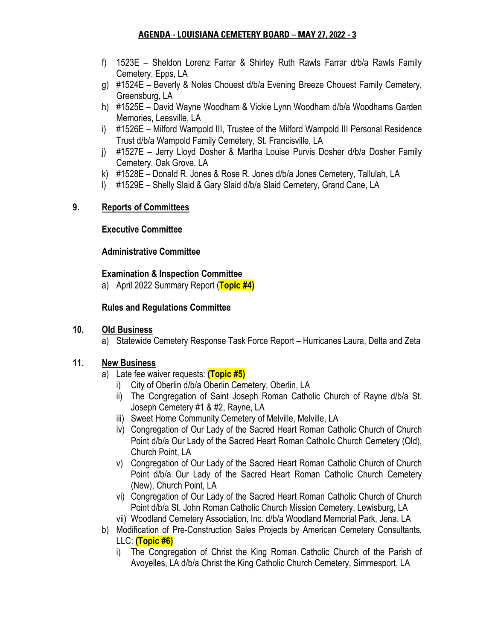#### **AGENDA - LOUISIANA CEMETERY BOARD – MAY 27, 2022 - 3**

- f) 1523E Sheldon Lorenz Farrar & Shirley Ruth Rawls Farrar d/b/a Rawls Family Cemetery, Epps, LA
- g) #1524E Beverly & Noles Chouest d/b/a Evening Breeze Chouest Family Cemetery, Greensburg, LA
- h) #1525E David Wayne Woodham & Vickie Lynn Woodham d/b/a Woodhams Garden Memories, Leesville, LA
- i) #1526E Milford Wampold III, Trustee of the Milford Wampold III Personal Residence Trust d/b/a Wampold Family Cemetery, St. Francisville, LA
- j) #1527E Jerry Lloyd Dosher & Martha Louise Purvis Dosher d/b/a Dosher Family Cemetery, Oak Grove, LA
- k) #1528E Donald R. Jones & Rose R. Jones d/b/a Jones Cemetery, Tallulah, LA
- l) #1529E Shelly Slaid & Gary Slaid d/b/a Slaid Cemetery, Grand Cane, LA

#### **9. Reports of Committees**

#### **Executive Committee**

#### **Administrative Committee**

#### **Examination & Inspection Committee**

a) April 2022 Summary Report (**Topic #4)**

#### **Rules and Regulations Committee**

#### **10. Old Business**

a) Statewide Cemetery Response Task Force Report – Hurricanes Laura, Delta and Zeta

#### **11. New Business**

- a) Late fee waiver requests: **(Topic #5)**
	- i) City of Oberlin d/b/a Oberlin Cemetery, Oberlin, LA
	- ii) The Congregation of Saint Joseph Roman Catholic Church of Rayne d/b/a St. Joseph Cemetery #1 & #2, Rayne, LA
	- iii) Sweet Home Community Cemetery of Melville, Melville, LA
	- iv) Congregation of Our Lady of the Sacred Heart Roman Catholic Church of Church Point d/b/a Our Lady of the Sacred Heart Roman Catholic Church Cemetery (Old), Church Point, LA
	- v) Congregation of Our Lady of the Sacred Heart Roman Catholic Church of Church Point d/b/a Our Lady of the Sacred Heart Roman Catholic Church Cemetery (New), Church Point, LA
	- vi) Congregation of Our Lady of the Sacred Heart Roman Catholic Church of Church Point d/b/a St. John Roman Catholic Church Mission Cemetery, Lewisburg, LA
	- vii) Woodland Cemetery Association, Inc. d/b/a Woodland Memorial Park, Jena, LA
- b) Modification of Pre-Construction Sales Projects by American Cemetery Consultants, LLC: **(Topic #6)**
	- i) The Congregation of Christ the King Roman Catholic Church of the Parish of Avoyelles, LA d/b/a Christ the King Catholic Church Cemetery, Simmesport, LA